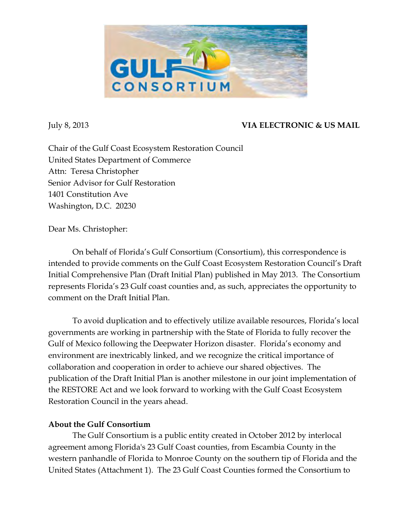

# July 8, 2013 **VIA ELECTRONIC & US MAIL**

Chair of the Gulf Coast Ecosystem Restoration Council United States Department of Commerce Attn: Teresa Christopher Senior Advisor for Gulf Restoration 1401 Constitution Ave Washington, D.C. 20230

Dear Ms. Christopher:

On behalf of Florida's Gulf Consortium (Consortium), this correspondence is intended to provide comments on the Gulf Coast Ecosystem Restoration Council's Draft Initial Comprehensive Plan (Draft Initial Plan) published in May 2013. The Consortium represents Florida's 23 Gulf coast counties and, as such, appreciates the opportunity to comment on the Draft Initial Plan.

To avoid duplication and to effectively utilize available resources, Florida's local governments are working in partnership with the State of Florida to fully recover the Gulf of Mexico following the Deepwater Horizon disaster. Florida's economy and environment are inextricably linked, and we recognize the critical importance of collaboration and cooperation in order to achieve our shared objectives. The publication of the Draft Initial Plan is another milestone in our joint implementation of the RESTORE Act and we look forward to working with the Gulf Coast Ecosystem Restoration Council in the years ahead.

## **About the Gulf Consortium**

The Gulf Consortium is a public entity created in October 2012 by interlocal agreement among Florida's 23 Gulf Coast counties, from Escambia County in the western panhandle of Florida to Monroe County on the southern tip of Florida and the United States (Attachment 1). The 23 Gulf Coast Counties formed the Consortium to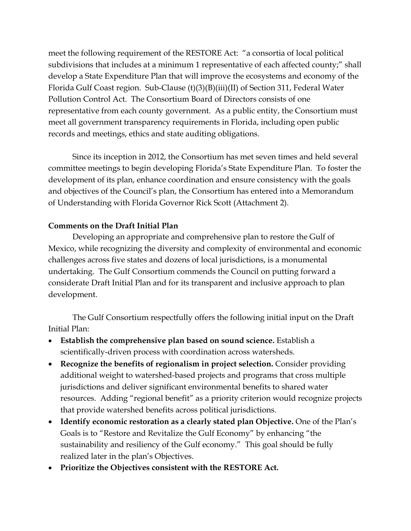meet the following requirement of the RESTORE Act: "a consortia of local political subdivisions that includes at a minimum 1 representative of each affected county;" shall develop a State Expenditure Plan that will improve the ecosystems and economy of the Florida Gulf Coast region. Sub-Clause (t)(3)(B)(iii)(II) of Section 311, Federal Water Pollution Control Act. The Consortium Board of Directors consists of one representative from each county government. As a public entity, the Consortium must meet all government transparency requirements in Florida, including open public records and meetings, ethics and state auditing obligations.

Since its inception in 2012, the Consortium has met seven times and held several committee meetings to begin developing Florida's State Expenditure Plan. To foster the development of its plan, enhance coordination and ensure consistency with the goals and objectives of the Council's plan, the Consortium has entered into a Memorandum of Understanding with Florida Governor Rick Scott (Attachment 2).

### **Comments on the Draft Initial Plan**

Developing an appropriate and comprehensive plan to restore the Gulf of Mexico, while recognizing the diversity and complexity of environmental and economic challenges across five states and dozens of local jurisdictions, is a monumental undertaking. The Gulf Consortium commends the Council on putting forward a considerate Draft Initial Plan and for its transparent and inclusive approach to plan development.

The Gulf Consortium respectfully offers the following initial input on the Draft Initial Plan:

- **Establish the comprehensive plan based on sound science.** Establish a scientifically-driven process with coordination across watersheds.
- **Recognize the benefits of regionalism in project selection.** Consider providing additional weight to watershed-based projects and programs that cross multiple jurisdictions and deliver significant environmental benefits to shared water resources. Adding "regional benefit" as a priority criterion would recognize projects that provide watershed benefits across political jurisdictions.
- Identify economic restoration as a clearly stated plan Objective. One of the Plan's Goals is to "Restore and Revitalize the Gulf Economy" by enhancing "the sustainability and resiliency of the Gulf economy." This goal should be fully realized later in the plan's Objectives.
- **Prioritize the Objectives consistent with the RESTORE Act.**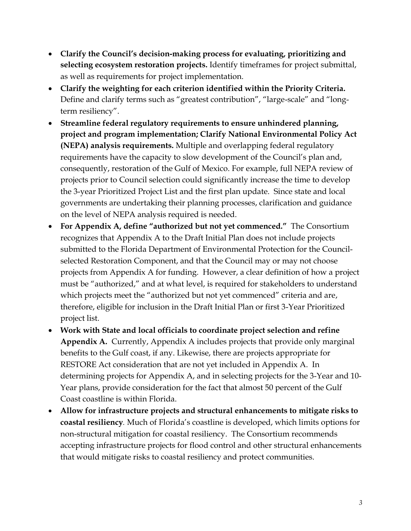- **Clarify the Council's decision-making process for evaluating, prioritizing and selecting ecosystem restoration projects.** Identify timeframes for project submittal, as well as requirements for project implementation.
- **Clarify the weighting for each criterion identified within the Priority Criteria.**  Define and clarify terms such as "greatest contribution", "large-scale" and "longterm resiliency".
- **Streamline federal regulatory requirements to ensure unhindered planning, project and program implementation; Clarify National Environmental Policy Act (NEPA) analysis requirements.** Multiple and overlapping federal regulatory requirements have the capacity to slow development of the Council's plan and, consequently, restoration of the Gulf of Mexico. For example, full NEPA review of projects prior to Council selection could significantly increase the time to develop the 3-year Prioritized Project List and the first plan update. Since state and local governments are undertaking their planning processes, clarification and guidance on the level of NEPA analysis required is needed.
- **For Appendix A, define "authorized but not yet commenced."** The Consortium recognizes that Appendix A to the Draft Initial Plan does not include projects submitted to the Florida Department of Environmental Protection for the Councilselected Restoration Component, and that the Council may or may not choose projects from Appendix A for funding. However, a clear definition of how a project must be "authorized," and at what level, is required for stakeholders to understand which projects meet the "authorized but not yet commenced" criteria and are, therefore, eligible for inclusion in the Draft Initial Plan or first 3-Year Prioritized project list.
- **Work with State and local officials to coordinate project selection and refine Appendix A.**Currently, Appendix A includes projects that provide only marginal benefits to the Gulf coast, if any. Likewise, there are projects appropriate for RESTORE Act consideration that are not yet included in Appendix A. In determining projects for Appendix A, and in selecting projects for the 3-Year and 10- Year plans, provide consideration for the fact that almost 50 percent of the Gulf Coast coastline is within Florida.
- **Allow for infrastructure projects and structural enhancements to mitigate risks to coastal resiliency***.* Much of Florida's coastline is developed, which limits options for non-structural mitigation for coastal resiliency. The Consortium recommends accepting infrastructure projects for flood control and other structural enhancements that would mitigate risks to coastal resiliency and protect communities.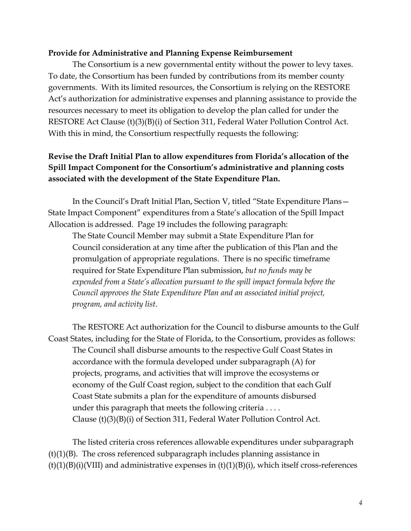#### **Provide for Administrative and Planning Expense Reimbursement**

The Consortium is a new governmental entity without the power to levy taxes. To date, the Consortium has been funded by contributions from its member county governments. With its limited resources, the Consortium is relying on the RESTORE Act's authorization for administrative expenses and planning assistance to provide the resources necessary to meet its obligation to develop the plan called for under the RESTORE Act Clause (t)(3)(B)(i) of Section 311, Federal Water Pollution Control Act. With this in mind, the Consortium respectfully requests the following:

## **Revise the Draft Initial Plan to allow expenditures from Florida's allocation of the Spill Impact Component for the Consortium's administrative and planning costs associated with the development of the State Expenditure Plan.**

In the Council's Draft Initial Plan, Section V, titled "State Expenditure Plans— State Impact Component" expenditures from a State's allocation of the Spill Impact Allocation is addressed. Page 19 includes the following paragraph:

The State Council Member may submit a State Expenditure Plan for Council consideration at any time after the publication of this Plan and the promulgation of appropriate regulations. There is no specific timeframe required for State Expenditure Plan submission, *but no funds may be expended from a State's allocation pursuant to the spill impact formula before the Council approves the State Expenditure Plan and an associated initial project, program, and activity list*.

The RESTORE Act authorization for the Council to disburse amounts to the Gulf Coast States, including for the State of Florida, to the Consortium, provides as follows: The Council shall disburse amounts to the respective Gulf Coast States in accordance with the formula developed under subparagraph (A) for projects, programs, and activities that will improve the ecosystems or economy of the Gulf Coast region, subject to the condition that each Gulf Coast State submits a plan for the expenditure of amounts disbursed under this paragraph that meets the following criteria . . . . Clause (t)(3)(B)(i) of Section 311, Federal Water Pollution Control Act.

The listed criteria cross references allowable expenditures under subparagraph  $(t)(1)(B)$ . The cross referenced subparagraph includes planning assistance in  $(t)(1)(B)(i)(VIII)$  and administrative expenses in  $(t)(1)(B)(i)$ , which itself cross-references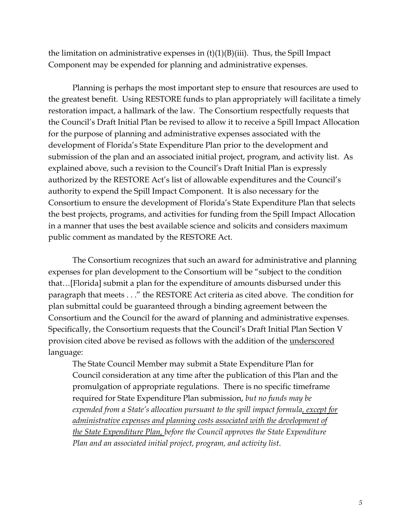the limitation on administrative expenses in  $(t)(1)(B)(iii)$ . Thus, the Spill Impact Component may be expended for planning and administrative expenses.

Planning is perhaps the most important step to ensure that resources are used to the greatest benefit. Using RESTORE funds to plan appropriately will facilitate a timely restoration impact, a hallmark of the law. The Consortium respectfully requests that the Council's Draft Initial Plan be revised to allow it to receive a Spill Impact Allocation for the purpose of planning and administrative expenses associated with the development of Florida's State Expenditure Plan prior to the development and submission of the plan and an associated initial project, program, and activity list. As explained above, such a revision to the Council's Draft Initial Plan is expressly authorized by the RESTORE Act's list of allowable expenditures and the Council's authority to expend the Spill Impact Component. It is also necessary for the Consortium to ensure the development of Florida's State Expenditure Plan that selects the best projects, programs, and activities for funding from the Spill Impact Allocation in a manner that uses the best available science and solicits and considers maximum public comment as mandated by the RESTORE Act.

The Consortium recognizes that such an award for administrative and planning expenses for plan development to the Consortium will be "subject to the condition that…[Florida] submit a plan for the expenditure of amounts disbursed under this paragraph that meets . . ." the RESTORE Act criteria as cited above. The condition for plan submittal could be guaranteed through a binding agreement between the Consortium and the Council for the award of planning and administrative expenses. Specifically, the Consortium requests that the Council's Draft Initial Plan Section V provision cited above be revised as follows with the addition of the underscored language:

The State Council Member may submit a State Expenditure Plan for Council consideration at any time after the publication of this Plan and the promulgation of appropriate regulations. There is no specific timeframe required for State Expenditure Plan submission, *but no funds may be expended from a State's allocation pursuant to the spill impact formula, except for administrative expenses and planning costs associated with the development of the State Expenditure Plan, before the Council approves the State Expenditure Plan and an associated initial project, program, and activity list*.